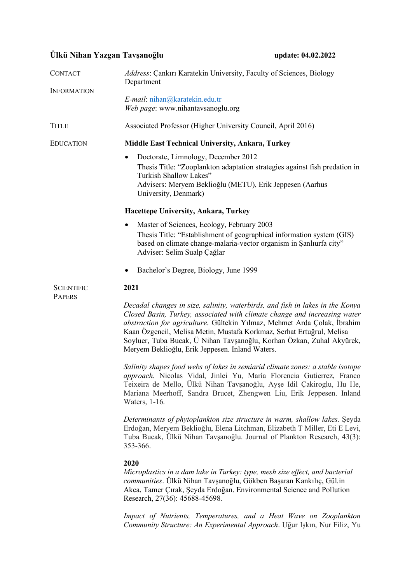# **Ülkü Nihan Yazgan Tavşanoğlu update: 04.02.2022**

| Address: Çankırı Karatekin University, Faculty of Sciences, Biology<br><b>CONTACT</b><br>Department |                                                                                                                                                                                                                                                                                                                                                                                                                                             |
|-----------------------------------------------------------------------------------------------------|---------------------------------------------------------------------------------------------------------------------------------------------------------------------------------------------------------------------------------------------------------------------------------------------------------------------------------------------------------------------------------------------------------------------------------------------|
| <b>INFORMATION</b>                                                                                  | E-mail: nihan@karatekin.edu.tr<br>Web page: www.nihantavsanoglu.org                                                                                                                                                                                                                                                                                                                                                                         |
| <b>TITLE</b>                                                                                        | Associated Professor (Higher University Council, April 2016)                                                                                                                                                                                                                                                                                                                                                                                |
| <b>EDUCATION</b>                                                                                    | Middle East Technical University, Ankara, Turkey                                                                                                                                                                                                                                                                                                                                                                                            |
|                                                                                                     | Doctorate, Limnology, December 2012<br>٠<br>Thesis Title: "Zooplankton adaptation strategies against fish predation in<br>Turkish Shallow Lakes"<br>Advisers: Meryem Beklioğlu (METU), Erik Jeppesen (Aarhus<br>University, Denmark)                                                                                                                                                                                                        |
|                                                                                                     | Hacettepe University, Ankara, Turkey                                                                                                                                                                                                                                                                                                                                                                                                        |
|                                                                                                     | Master of Sciences, Ecology, February 2003<br>٠<br>Thesis Title: "Establishment of geographical information system (GIS)<br>based on climate change-malaria-vector organism in Sanlıurfa city"<br>Adviser: Selim Sualp Çağlar                                                                                                                                                                                                               |
|                                                                                                     | Bachelor's Degree, Biology, June 1999                                                                                                                                                                                                                                                                                                                                                                                                       |
| <b>SCIENTIFIC</b><br><b>PAPERS</b>                                                                  | 2021                                                                                                                                                                                                                                                                                                                                                                                                                                        |
|                                                                                                     | Decadal changes in size, salinity, waterbirds, and fish in lakes in the Konya<br>Closed Basin, Turkey, associated with climate change and increasing water<br>abstraction for agriculture. Gültekin Yılmaz, Mehmet Arda Çolak, İbrahim<br>Kaan Özgencil, Melisa Metin, Mustafa Korkmaz, Serhat Ertuğrul, Melisa<br>Soyluer, Tuba Bucak, Ü Nihan Tavşanoğlu, Korhan Özkan, Zuhal Akyürek,<br>Meryem Beklioğlu, Erik Jeppesen. Inland Waters. |
|                                                                                                     | Salinity shapes food webs of lakes in semiarid climate zones: a stable isotope<br>approach. Nicolas Vidal, Jinlei Yu, María Florencia Gutierrez, Franco<br>Teixeira de Mello, Ülkü Nihan Tavşanoğlu, Ayşe Idil Çakiroglu, Hu He,<br>Mariana Meerhoff, Sandra Brucet, Zhengwen Liu, Erik Jeppesen. Inland<br>Waters, 1-16.                                                                                                                   |
|                                                                                                     | Determinants of phytoplankton size structure in warm, shallow lakes. Şeyda<br>Erdoğan, Meryem Beklioğlu, Elena Litchman, Elizabeth T Miller, Eti E Levi,<br>Tuba Bucak, Ülkü Nihan Tavşanoğlu. Journal of Plankton Research, 43(3):<br>353-366.                                                                                                                                                                                             |
|                                                                                                     | 2020<br>Microplastics in a dam lake in Turkey: type, mesh size effect, and bacterial<br>communities. Ülkü Nihan Tavşanoğlu, Gökben Başaran Kankılıç, Gül.in<br>Akca, Tamer Çırak, Şeyda Erdoğan. Environmental Science and Pollution<br>Research, 27(36): 45688-45698.                                                                                                                                                                      |
|                                                                                                     | Impact of Nutrients, Temperatures, and a Heat Wave on Zooplankton<br>Community Structure: An Experimental Approach. Uğur Işkın, Nur Filiz, Yu                                                                                                                                                                                                                                                                                               |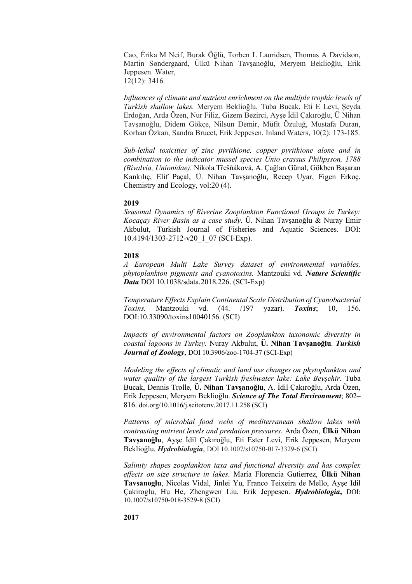Cao, Érika M Neif, Burak Öğlü, Torben L Lauridsen, Thomas A Davidson, Martin Søndergaard, Ülkü Nihan Tavşanoğlu, Meryem Beklioğlu, Erik Jeppesen. Water, 12(12): 3416.

*Influences of climate and nutrient enrichment on the multiple trophic levels of Turkish shallow lakes.* Meryem Beklioğlu, Tuba Bucak, Eti E Levi, Şeyda Erdoğan, Arda Özen, Nur Filiz, Gizem Bezirci, Ayşe İdil Çakıroğlu, Ü Nihan Tavşanoğlu, Didem Gökçe, Nilsun Demir, Müfit Özuluğ, Mustafa Duran, Korhan Özkan, Sandra Brucet, Erik Jeppesen. Inland Waters, 10(2): 173-185.

*Sub-lethal toxicities of zinc pyrithione, copper pyrithione alone and in combination to the indicator mussel species Unio crassus Philipsson, 1788 (Bivalvia, Unionidae)*. Nikola Třešňáková, A. Çağlan Günal, Gökben Başaran Kankılıç, Elif Paçal, Ü. Nihan Tavşanoğlu, Recep Uyar, Figen Erkoç. Chemistry and Ecology, vol:20 (4).

## **2019**

*Seasonal Dynamics of Riverine Zooplankton Functional Groups in Turkey: Kocaçay River Basin as a case study*. Ü. Nihan Tavşanoğlu & Nuray Emir Akbulut, Turkish Journal of Fisheries and Aquatic Sciences. DOI: 10.4194/1303-2712-v20\_1\_07 (SCI-Exp).

## **2018**

*A European Multi Lake Survey dataset of environmental variables, phytoplankton pigments and cyanotoxins.* Mantzouki vd. *Nature Scientific Data* DOI 10.1038/sdata.2018.226. (SCI-Exp)

*Temperature Effects Explain Continental Scale Distribution of Cyanobacterial Toxins.* Mantzouki vd. (44. /197 yazar). *Toxins*; 10, 156. DOI:10.33090/toxins10040156. (SCI)

*Impacts of environmental factors on Zooplankton taxonomic diversity in coastal lagoons in Turkey.* Nuray Akbulut, **Ü. Nihan Tavşanoğlu**. *Turkish Journal of Zoology*, DOI 10.3906/zoo-1704-37 (SCI-Exp)

*Modeling the effects of climatic and land use changes on phytoplankton and water quality of the largest Turkish freshwater lake: Lake Beyşehir.* Tuba Bucak, Dennis Trolle, **Ü. Nihan Tavşanoğlu**, A. İdil Çakıroğlu, Arda Özen, Erik Jeppesen, Meryem Beklioğlu. *Science of The Total Environment*; 802– 816. doi.org/10.1016/j.scitotenv.2017.11.258 (SCI)

*Patterns of microbial food webs of mediterranean shallow lakes with contrasting nutrient levels and predation pressures*. Arda Özen, **Ülkü Nihan Tavşanoğlu**, Ayşe İdil Çakıroğlu, Eti Ester Levi, Erik Jeppesen, Meryem Beklioğlu. *Hydrobiologia*, DOI 10.1007/s10750-017-3329-6 (SCI)

*Salinity shapes zooplankton taxa and functional diversity and has complex effects on size structure in lakes.* María Florencia Gutierrez, **Ülkü Nihan Tavsanoglu**, Nicolas Vidal, Jinlei Yu, Franco Teixeira de Mello, Ayşe Idil Çakiroglu, Hu He, Zhengwen Liu, Erik Jeppesen. *Hydrobiologia***,** DOI: 10.1007/s10750-018-3529-8 (SCI)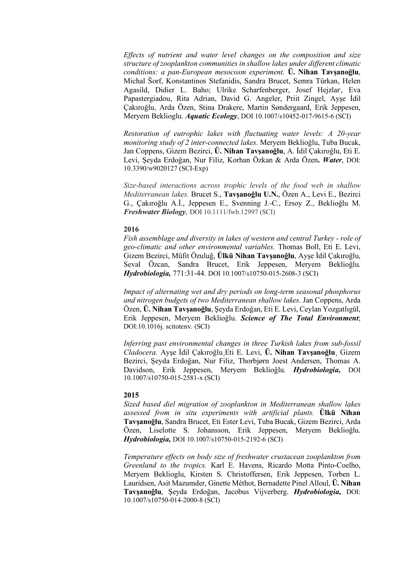*Effects of nutrient and water level changes on the composition and size structure of zooplankton communities in shallow lakes under different climatic conditions: a pan-European mesocosm experiment.* **Ü. Nihan Tavşanoğlu**, Michal Šorf, Konstantinos Stefanidis, Sandra Brucet, Semra Türkan, Helen Agasild, Didier L. Baho; Ulrike Scharfenberger, Josef Hejzlar, Eva Papastergiadou, Rita Adrian, David G. Angeler, Priit Zingel, Ayşe İdil Çakıroğlu, Arda Özen, Stina Drakere, Martin Søndergaard, Erik Jeppesen, Meryem Beklioglu. *Aquatic Ecology*, DOI 10.1007/s10452-017-9615-6 (SCI)

*Restoration of eutrophic lakes with fluctuating water levels: A 20-year monitoring study of 2 inter-connected lakes.* Meryem Beklioğlu, Tuba Bucak, Jan Coppens, Gizem Bezirci, **Ü. Nihan Tavşanoğlu**, A. İdil Çakıroğlu, Eti E. Levi, Şeyda Erdoğan, Nur Filiz, Korhan Özkan & Arda Özen**.** *Water*, DOI: 10.3390/w9020127 (SCI-Exp)

*Size-based interactions across trophic levels of the food web in shallow Mediterranean lakes.* Brucet S., **Tavşanoğlu U.N.**, Özen A., Levi E., Bezirci G., Çakıroğlu A.İ., Jeppesen E., Svenning J.-C., Ersoy Z., Beklioğlu M. *Freshwater Biology*, DOI 10.1111/fwb.12997 (SCI)

## **2016**

*Fish assemblage and diversity in lakes of western and central Turkey - role of geo-climatic and other environmental variables.* Thomas Boll, Eti E. Levi, Gizem Bezirci, Müfit Özuluğ, **Ülkü Nihan Tavşanoğlu**, Ayşe İdil Çakıroğlu, Seval Özcan, Sandra Brucet, Erik Jeppesen, Meryem Beklioğlu. *Hydrobiologia,* 771:31-44. DOI 10.1007/s10750-015-2608-3 (SCI)

*Impact of alternating wet and dry periods on long-term seasonal phosphorus and nitrogen budgets of two Mediterranean shallow lakes.* Jan Coppens, Arda Özen, **Ü. Nihan Tavşanoğlu**, Şeyda Erdoğan, Eti E. Levi, Ceylan Yozgatlıgül, Erik Jeppesen, Meryem Beklioğlu. *Science of The Total Environment*; DOI:10.1016j. scitotenv. (SCI)

*Inferring past environmental changes in three Turkish lakes from sub-fossil Cladocera.* Ayşe İdil Çakıroğlu¸Eti E. Levi, **Ü. Nihan Tavşanoğlu**¸ Gizem Bezirci, Şeyda Erdoğan, Nur Filiz, Thorbjørn Joest Andersen, Thomas A. Davidson, Erik Jeppesen, Meryem Beklioğlu. *Hydrobiologia,* DOI 10.1007/s10750-015-2581-x (SCI)

## **2015**

*Sized based diel migration of zooplankton in Mediterranean shallow lakes assessed from in situ experiments with artificial plants.* **Ülkü Nihan Tavşanoğlu**, Sandra Brucet, Eti Ester Levi, Tuba Bucak, Gizem Bezirci, Arda Özen, Liselotte S. Johansson, Erik Jeppesen, Meryem Beklioğlu. *Hydrobiologia,* DOI 10.1007/s10750-015-2192-6 (SCI)

*Temperature effects on body size of freshwater crustacean zooplankton from Greenland to the tropics.* Karl E. Havens, Ricardo Motta Pinto-Coelho, Meryem Beklioglu, Kirsten S. Christoffersen, Erik Jeppesen, Torben L. Lauridsen, Asit Mazumder, Ginette Méthot, Bernadette Pinel Alloul, **Ü. Nihan Tavşanoğlu**, Şeyda Erdoğan, Jacobus Vijverberg. *Hydrobiologia***,** DOI: 10.1007/s10750-014-2000-8 (SCI)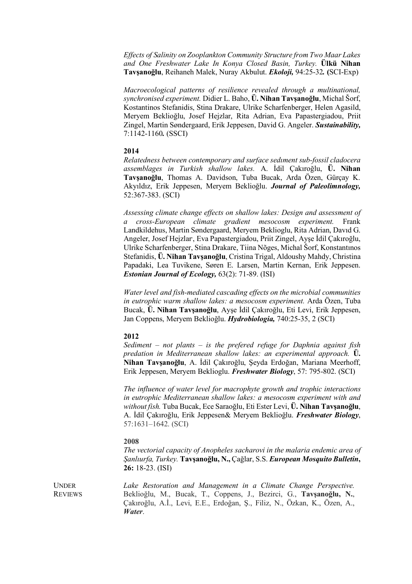*Effects of Salinity on Zooplankton Community Structure from Two Maar Lakes and One Freshwater Lake In Konya Closed Basin, Turkey.* **Ülkü Nihan Tavşanoğlu**, Reihaneh Malek, Nuray Akbulut. *Ekoloji,* 94:25-32*.* **(**SCI-Exp)

*Macroecological patterns of resilience revealed through a multinational, synchronised experiment.* Didier L. Baho, **Ü. Nihan Tavşanoğlu**, Michal Šorf, Kostantinos Stefanidis, Stina Drakare, Ulrike Scharfenberger, Helen Agasild, Meryem Beklioğlu, Josef Hejzlar, Rita Adrian, Eva Papastergiadou, Priit Zingel, Martin Søndergaard, Erik Jeppesen, David G. Angeler. *Sustainability,*  7:1142-1160*.* (SSCI)

## **2014**

*Relatedness between contemporary and surface sedıment sub-fossil cladocera assemblages in Turkish shallow lakes.* A. İdil Çakıroğlu, **Ü. Nihan Tavşanoğlu**, Thomas A. Davidson, Tuba Bucak, Arda Özen, Gürçay K. Akyıldız, Erik Jeppesen, Meryem Beklioğlu. *Journal of Paleolimnology,*  52:367-383. (SCI)

*Assessing climate change effects on shallow lakes: Design and assessment of a cross-European climate gradient mesocosm experiment.* Frank Landkildehus, Martin Søndergaard, Meryem Beklioglu, Rita Adrian, Davıd G. Angeler, Josef Hejzlar, , Eva Papastergiadou, Priit Zingel, Ayşe İdil Çakıroğlu, Ulrike Scharfenberger, Stina Drakare, Tiina Nõges, Michal Šorf, Konstantınos Stefanidis, **Ü. Nihan Tavşanoğlu**, Cristina Trigal, Aldoushy Mahdy, Christina Papadaki, Lea Tuvikene, Søren E. Larsen, Martin Kernan, Erik Jeppesen. *Estonian Journal of Ecology,* 63(2): 71-89. (ISI)

*Water level and fish-mediated cascading effects on the microbial communities in eutrophic warm shallow lakes: a mesocosm experiment.* Arda Özen, Tuba Bucak, **Ü. Nihan Tavşanoğlu**, Ayşe İdil Çakıroğlu, Eti Levi, Erik Jeppesen, Jan Coppens, Meryem Beklioğlu. *Hydrobiologia,* 740:25-35, 2 (SCI)

#### **2012**

*Sediment – not plants – is the prefered refuge for Daphnia against fish predation in Mediterranean shallow lakes: an experimental approach.* **Ü. Nihan Tavşanoğlu**, A. İdil Çakıroğlu, Şeyda Erdoğan, Mariana Meerhoff, Erik Jeppesen, Meryem Beklioglu. *Freshwater Biology*, 57: 795-802. (SCI)

*The influence of water level for macrophyte growth and trophic interactions in eutrophic Mediterranean shallow lakes: a mesocosm experiment with and without fish.* Tuba Bucak, Ece Saraoğlu, Eti Ester Levi, **Ü. Nihan Tavşanoğlu**, A. İdil Çakıroğlu, Erik Jeppesen& Meryem Beklioğlu. *Freshwater Biology*, 57:1631–1642. (SCI)

#### **2008**

*The vectorial capacity of Anopheles sacharovi in the malaria endemic area of Şanlıurfa, Turkey.* **Tavşanoğlu, N.,** Çağlar, S.S. *European Mosquito Bulletin***, 26:** 18-23. (ISI)

**UNDER** REVIEWS Lake Restoration and Management in a Climate Change Perspective. Beklioğlu, M., Bucak, T., Coppens, J., Bezirci, G., **Tavşanoğlu, N.**, Çakıroğlu, A.İ., Levi, E.E., Erdoğan, Ş., Filiz, N., Özkan, K., Özen, A., *Water*.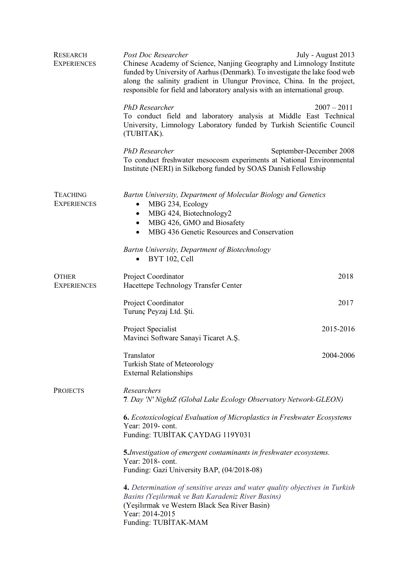| <b>RESEARCH</b><br><b>EXPERIENCES</b> | Post Doc Researcher<br>Chinese Academy of Science, Nanjing Geography and Limnology Institute<br>funded by University of Aarhus (Denmark). To investigate the lake food web<br>along the salinity gradient in Ulungur Province, China. In the project,<br>responsible for field and laboratory analysis with an international group. | July - August 2013      |  |
|---------------------------------------|-------------------------------------------------------------------------------------------------------------------------------------------------------------------------------------------------------------------------------------------------------------------------------------------------------------------------------------|-------------------------|--|
|                                       | <b>PhD</b> Researcher<br>To conduct field and laboratory analysis at Middle East Technical<br>University, Limnology Laboratory funded by Turkish Scientific Council<br>(TUBITAK).                                                                                                                                                   | $2007 - 2011$           |  |
|                                       | <b>PhD</b> Researcher<br>To conduct freshwater mesocosm experiments at National Environmental<br>Institute (NERI) in Silkeborg funded by SOAS Danish Fellowship                                                                                                                                                                     | September-December 2008 |  |
| <b>TEACHING</b><br><b>EXPERIENCES</b> | Bartin University, Department of Molecular Biology and Genetics<br>MBG 436 Genetic Resources and Conservation                                                                                                                                                                                                                       |                         |  |
|                                       | Bartin University, Department of Biotechnology<br>BYT 102, Cell<br>$\bullet$                                                                                                                                                                                                                                                        |                         |  |
| <b>OTHER</b><br><b>EXPERIENCES</b>    | Project Coordinator<br>Hacettepe Technology Transfer Center                                                                                                                                                                                                                                                                         | 2018                    |  |
|                                       | Project Coordinator<br>Turunç Peyzaj Ltd. Şti.                                                                                                                                                                                                                                                                                      | 2017                    |  |
|                                       | Project Specialist<br>Mavinci Software Sanayi Ticaret A.S.                                                                                                                                                                                                                                                                          | 2015-2016               |  |
|                                       | Translator<br><b>Turkish State of Meteorology</b><br><b>External Relationships</b>                                                                                                                                                                                                                                                  | 2004-2006               |  |
| <b>PROJECTS</b>                       | Researchers<br>7. Day 'N' NightZ (Global Lake Ecology Observatory Network-GLEON)                                                                                                                                                                                                                                                    |                         |  |
|                                       | <b>6.</b> Ecotoxicological Evaluation of Microplastics in Freshwater Ecosystems<br>Year: 2019- cont.<br>Funding: TUBİTAK ÇAYDAG 119Y031                                                                                                                                                                                             |                         |  |
|                                       | 5. Investigation of emergent contaminants in freshwater ecosystems.<br>Year: 2018- cont.<br>Funding: Gazi University BAP, (04/2018-08)                                                                                                                                                                                              |                         |  |
|                                       | 4. Determination of sensitive areas and water quality objectives in Turkish<br>Basins (Yeşilırmak ve Batı Karadeniz River Basins)<br>(Yeşilırmak ve Western Black Sea River Basin)<br>Year: 2014-2015<br>Funding: TUBİTAK-MAM                                                                                                       |                         |  |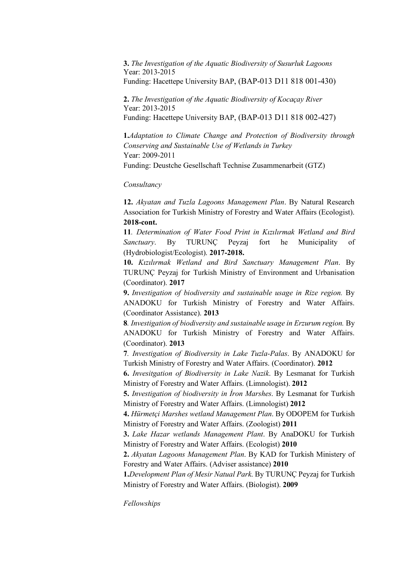**3.** *The Investigation of the Aquatic Biodiversity of Susurluk Lagoons* Year: 2013-2015 Funding: Hacettepe University BAP, (BAP-013 D11 818 001-430)

**2.** *The Investigation of the Aquatic Biodiversity of Kocaçay River* Year: 2013-2015 Funding: Hacettepe University BAP, (BAP-013 D11 818 002-427)

**1.***Adaptation to Climate Change and Protection of Biodiversity through Conserving and Sustainable Use of Wetlands in Turkey* Year: 2009-2011 Funding: Deustche Gesellschaft Technise Zusammenarbeit (GTZ)

*Consultancy*

**12.** *Akyatan and Tuzla Lagoons Management Plan*. By Natural Research Association for Turkish Ministry of Forestry and Water Affairs (Ecologist). **2018-cont.**

**11***. Determination of Water Food Print in Kızılırmak Wetland and Bird Sanctuary*. By TURUNÇ Peyzaj fort he Municipality of (Hydrobiologist/Ecologist). **2017-2018.**

**10.** *Kızılırmak Wetland and Bird Sanctuary Management Plan*. By TURUNÇ Peyzaj for Turkish Ministry of Environment and Urbanisation (Coordinator). **2017**

**9.** *Investigation of biodiversity and sustainable usage in Rize region.* By ANADOKU for Turkish Ministry of Forestry and Water Affairs. (Coordinator Assistance). **2013**

**8***. Investigation of biodiversity and sustainable usage in Erzurum region.* By ANADOKU for Turkish Ministry of Forestry and Water Affairs. (Coordinator). **2013**

**7***. Investigation of Biodiversity in Lake Tuzla-Palas*. By ANADOKU for Turkish Ministry of Forestry and Water Affairs. (Coordinator). **2012**

**6.** *Invesitgation of Biodiversity in Lake Nazik*. By Lesmanat for Turkish Ministry of Forestry and Water Affairs. (Limnologist). **2012**

**5.** *Investigation of biodiversity in İron Marshes*. By Lesmanat for Turkish Ministry of Forestry and Water Affairs. (Limnologist) **2012**

**4.** *Hürmetçi Marshes wetland Management Plan*. By ODOPEM for Turkish Ministry of Forestry and Water Affairs. (Zoologist) **2011**

**3.** *Lake Hazar wetlands Management Plant*. By AnaDOKU for Turkish Ministry of Forestry and Water Affairs. (Ecologist) **2010**

**2.** *Akyatan Lagoons Management Plan*. By KAD for Turkish Ministery of Forestry and Water Affairs. (Adviser assistance) **2010**

**1.***Development Plan of Mesir Natual Park*. By TURUNÇ Peyzaj for Turkish Ministry of Forestry and Water Affairs. (Biologist). **2009**

*Fellowships*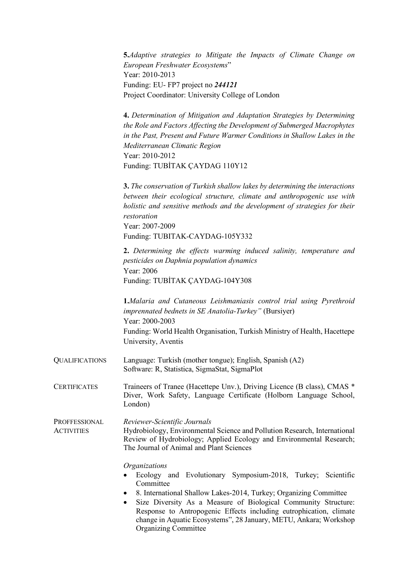|                                    | <b>5.</b> Adaptive strategies to Mitigate the Impacts of Climate Change on<br>European Freshwater Ecosystems"<br>Year: 2010-2013<br>Funding: EU-FP7 project no 244121<br>Project Coordinator: University College of London                                                                                                                                                                |
|------------------------------------|-------------------------------------------------------------------------------------------------------------------------------------------------------------------------------------------------------------------------------------------------------------------------------------------------------------------------------------------------------------------------------------------|
|                                    | 4. Determination of Mitigation and Adaptation Strategies by Determining<br>the Role and Factors Affecting the Development of Submerged Macrophytes<br>in the Past, Present and Future Warmer Conditions in Shallow Lakes in the<br>Mediterranean Climatic Region<br>Year: 2010-2012<br>Funding: TUBİTAK ÇAYDAG 110Y12                                                                     |
|                                    | 3. The conservation of Turkish shallow lakes by determining the interactions<br>between their ecological structure, climate and anthropogenic use with<br>holistic and sensitive methods and the development of strategies for their<br>restoration<br>Year: 2007-2009<br>Funding: TUBITAK-CAYDAG-105Y332                                                                                 |
|                                    | 2. Determining the effects warming induced salinity, temperature and<br>pesticides on Daphnia population dynamics<br>Year: 2006<br>Funding: TUBITAK CAYDAG-104Y308                                                                                                                                                                                                                        |
|                                    | <b>1.</b> Malaria and Cutaneous Leishmaniasis control trial using Pyrethroid<br><i>imprennated bednets in SE Anatolia-Turkey</i> " (Bursiyer)<br>Year: 2000-2003<br>Funding: World Health Organisation, Turkish Ministry of Health, Hacettepe<br>University, Aventis                                                                                                                      |
| <b>QUALIFICATIONS</b>              | Language: Turkish (mother tongue); English, Spanish (A2)<br>Software: R. Statistica, SigmaStat, SigmaPlot                                                                                                                                                                                                                                                                                 |
| <b>CERTIFICATES</b>                | Traineers of Tranee (Hacettepe Unv.), Driving Licence (B class), CMAS *<br>Diver, Work Safety, Language Certificate (Holborn Language School,<br>London)                                                                                                                                                                                                                                  |
| PROFFESSIONAL<br><b>ACTIVITIES</b> | Reviewer-Scientific Journals<br>Hydrobiology, Environmental Science and Pollution Research, International<br>Review of Hydrobiology; Applied Ecology and Environmental Research;<br>The Journal of Animal and Plant Sciences                                                                                                                                                              |
|                                    | <i><b>Organizations</b></i><br>Ecology and Evolutionary Symposium-2018, Turkey; Scientific<br>Committee<br>8. International Shallow Lakes-2014, Turkey; Organizing Committee<br>Size Diversity As a Measure of Biological Community Structure:<br>Response to Antropogenic Effects including eutrophication, climate<br>change in Aquatic Ecosystems", 28 January, METU, Ankara; Workshop |

Organizing Committee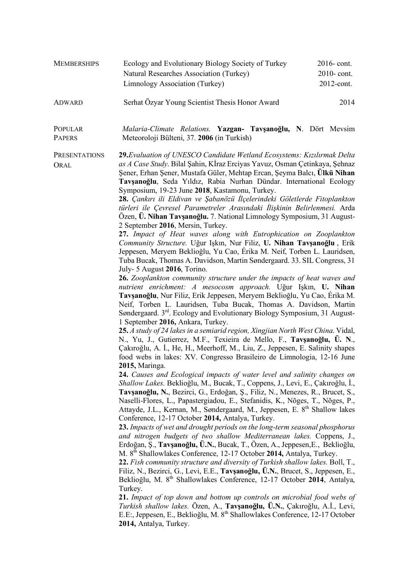| <b>MEMBERSHIPS</b> | Ecology and Evolutionary Biology Society of Turkey<br>Natural Researches Association (Turkey)<br>Limnology Association (Turkey) | $2016$ -cont.<br>$2010$ -cont.<br>$2012$ -cont. |
|--------------------|---------------------------------------------------------------------------------------------------------------------------------|-------------------------------------------------|
| ADWARD             | Serhat Özyar Young Scientist Thesis Honor Award                                                                                 | 2014                                            |

- POPULAR PAPERS *Malaria-Climate Relations.* **Yazgan- Tavşanoğlu, N**. Dört Mevsim Meteoroloji Bülteni, 37. **2006** (in Turkish)
- **PRESENTATIONS ORAL 29.***Evaluation of UNESCO Candidate Wetland Ecosystems: Kızılırmak Delta as A Case Study*. Bilal Şahin, Kİraz Erciyas Yavuz, Osman Çetinkaya, Şehnaz Şener, Erhan Şener, Mustafa Güler, Mehtap Ercan, Şeyma Balcı, **Ülkü Nihan Tavşanoğlu**, Seda Yıldız, Rabia Nurhan Dündar. International Ecology Symposium, 19-23 June **2018**, Kastamonu, Turkey.

**28.** *Çankırı ili Eldivan ve Şabanözü İlçelerindeki Göletlerde Fitoplankton türleri ile Çevresel Parametreler Arasındaki İlişkinin Belirlenmesi.* Arda Özen, **Ü. Nihan Tavşanoğlu.** 7. National Limnology Symposium, 31 August-2 September **2016**, Mersin, Turkey.

**27.** *Impact of Heat waves along with Eutrophication on Zooplankton Community Structure.* Uğur Işkın, Nur Filiz, **U. Nihan Tavşanoğlu** , Erik Jeppesen, Meryem Beklioğlu, Yu Cao, Érika M. Neif, Torben L. Lauridsen, Tuba Bucak, Thomas A. Davidson, Martin Søndergaard. 33. SIL Congress, 31 July- 5 August **2016**, Torino.

**26.** *Zooplankton community structure under the impacts of heat waves and nutrient enrichment: A mesocosm approach.* Uğur Işkın, **U. Nihan Tavşanoğlu**, Nur Filiz, Erik Jeppesen, Meryem Beklioğlu, Yu Cao, Érika M. Neif, Torben L. Lauridsen, Tuba Bucak, Thomas A. Davidson, Martin Søndergaard. 3rd. Ecology and Evolutionary Biology Symposium, 31 August-1 September **2016,** Ankara, Turkey.

**25.** *A study of 24 lakes in a semiarid region, Xingjian North West China*. Vidal, N., Yu, J., Gutierrez, M.F., Texieira de Mello, F., **Tavşanoğlu, Ü. N**., Çakıroğlu, A. İ., He, H., Meerhoff, M., Liu, Z., Jeppesen, E. Salinity shapes food webs in lakes: XV. Congresso Brasileiro de Limnologia, 12-16 June **2015,** Maringa.

**24.** *Causes and Ecological impacts of water level and salinity changes on Shallow Lakes.* Beklioğlu, M., Bucak, T., Coppens, J., Levi, E., Çakıroğlu, İ., **Tavşanoğlu, N.**, Bezirci, G., Erdoğan, Ş., Filiz, N., Menezes, R., Brucet, S., Naselli-Flores, L., Papastergiadou, E., Stefanidis, K., Nõges, T., Nõges, P., Attayde, J.L., Kernan, M., Søndergaard, M., Jeppesen, E. 8<sup>th</sup> Shallow lakes Conference, 12-17 October **2014,** Antalya, Turkey.

**23.** *Impacts of wet and drought periods on the long-term seasonal phosphorus and nitrogen budgets of two shallow Mediterranean lakes.* Coppens, J., Erdoğan, Ş., **Tavşanoğlu, Ü.N.**, Bucak, T., Özen, A., Jeppesen,E., Beklioğlu, M. 8th Shallowlakes Conference, 12-17 October **2014,** Antalya, Turkey.

**22.** *Fish community structure and diversity of Turkish shallow lakes.* Boll, T., Filiz, N., Bezirci, G., Levi, E.E., **Tavşanoğlu, Ü.N.**, Brucet, S., Jeppesen, E., Beklioğlu, M. 8<sup>th</sup> Shallowlakes Conference, 12-17 October 2014, Antalya, Turkey.

**21.** *Impact of top down and bottom up controls on microbial food webs of Turkish shallow lakes.* Özen, A., **Tavşanoğlu, Ü.N.**, Çakıroğlu, A.İ., Levi, E.E:, Jeppesen, E., Beklioğlu, M. 8th Shallowlakes Conference, 12-17 October **2014,** Antalya, Turkey.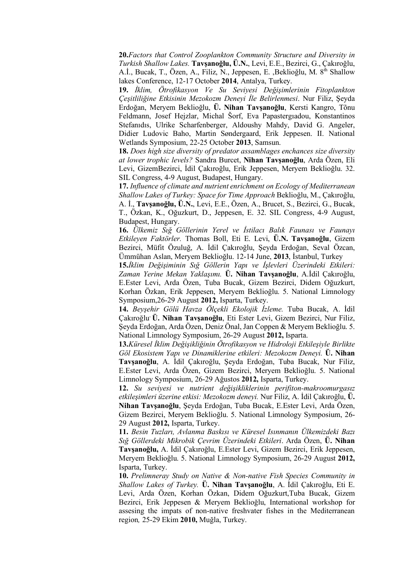**20.***Factors that Control Zooplankton Community Structure and Diversity in Turkish Shallow Lakes.* **Tavşanoğlu, Ü.N.**, Levi, E.E., Bezirci, G., Çakıroğlu, A.İ., Bucak, T., Özen, A., Filiz, N., Jeppesen, E., Beklioğlu, M. 8<sup>th</sup> Shallow lakes Conference, 12-17 October **2014**, Antalya, Turkey.

**19.** *İklim, Ötrofikasyon Ve Su Seviyesi Değişimlerinin Fitoplankton Çeşitliliğine Etkisinin Mezokozm Deneyi İle Belirlenmesi*. Nur Filiz, Şeyda Erdoğan, Meryem Beklioğlu, **Ü. Nihan Tavşanoğlu**, Kersti Kangro, Tõnu Feldmann, Josef Hejzlar, Michal Šorf, Eva Papastergıadou, Konstantinos Stefanıdıs, Ulrike Scharfenberger, Aldoushy Mahdy, David G. Angeler, Didier Ludovic Baho, Martin Søndergaard, Erik Jeppesen. II. National Wetlands Symposium, 22-25 October **2013**, Samsun.

**18.** *Does high size diversity of predator assamblages enchances size diversity at lower trophic levels?* Sandra Burcet, **Nihan Tavşanoğlu**, Arda Özen, Eli Levi, GizemBezirci, İdil Çakıroğlu, Erik Jeppesen, Meryem Beklioğlu. 32. SIL Congress, 4-9 August, Budapest, Hungary.

**17.** *Influence of climate and nutrient enrichment on Ecology of Mediterranean Shallow Lakes of Turkey: Space for Time Approach* Beklioğlu, M., Çakıroğlu, A. İ., **Tavşanoğlu, Ü.N.**, Levi, E.E., Özen, A., Brucet, S., Bezirci, G., Bucak, T., Özkan, K., Oğuzkurt, D., Jeppesen, E. 32. SIL Congress, 4-9 August, Budapest, Hungary.

**16.** *Ülkemiz Sığ Göllerinin Yerel ve İstilacı Balık Faunası ve Faunayı Etkileyen Faktörler.* Thomas Boll, Eti E. Levi, **Ü.N. Tavşanoğlu**, Gizem Bezirci, Müfit Özuluğ, A. İdil Çakıroğlu, Şeyda Erdoğan, Seval Özcan, Ümmühan Aslan, Meryem Beklioğlu. 12-14 June, **2013**, İstanbul, Turkey

**15.***İklim Değişiminin Sığ Göllerin Yapı ve İşlevleri Üzerindeki Etkileri: Zaman Yerine Mekan Yaklaşımı.* **Ü. Nihan Tavşanoğlu**, A.İdil Çakıroğlu, E.Ester Levi, Arda Özen, Tuba Bucak, Gizem Bezirci, Didem Oğuzkurt, Korhan Özkan, Erik Jeppesen, Meryem Beklioğlu. 5. National Limnology Symposium,26-29 August **2012,** Isparta, Turkey.

**14.** *Beyşehir Gölü Havza Ölçekli Ekolojik İzleme.* Tuba Bucak, A. İdil Çakıroğlu, **Ü. Nihan Tavşanoğlu**, Eti Ester Levi, Gizem Bezirci, Nur Filiz, Şeyda Erdoğan, Arda Özen, Deniz Önal, Jan Coppen & Meryem Beklioğlu. 5. National Limnology Symposium, 26-29 August **2012,** Isparta.

**13.***Küresel İklim Değişikliğinin Ötrofikasyon ve Hidroloji Etkileşiyle Birlikte Göl Ekosistem Yapı ve Dinamiklerine etkileri: Mezokozm Deneyi.* **Ü. Nihan Tavşanoğlu**, A. İdil Çakıroğlu, Şeyda Erdoğan, Tuba Bucak, Nur Filiz, E.Ester Levi, Arda Özen, Gizem Bezirci, Meryem Beklioğlu. 5. National Limnology Symposium, 26-29 Ağustos **2012,** Isparta, Turkey.

**12.** *Su seviyesi ve nutrient değişikliklerinin perifiton-makroomurgasız etkileşimleri üzerine etkisi: Mezokozm deneyi.* Nur Filiz, A. İdil Çakıroğlu, **Ü. Nihan Tavşanoğlu**, Şeyda Erdoğan, Tuba Bucak, E.Ester Levi, Arda Özen, Gizem Bezirci, Meryem Beklioğlu. 5. National Limnology Symposium, 26- 29 August **2012,** Isparta, Turkey.

**11.** *Besin Tuzları, Avlanma Baskısı ve Küresel Isınmanın Ülkemizdeki Bazı Sığ Göllerdeki Mikrobik Çevrim Üzerindeki Etkileri*. Arda Özen, **Ü. Nihan Tavşanoğlu,** A. İdil Çakıroğlu, E.Ester Levi, Gizem Bezirci, Erik Jeppesen, Meryem Beklioğlu. 5. National Limnology Symposium, 26-29 August **2012,** Isparta, Turkey.

**10.** *Prelimneray Study on Native & Non-native Fish Species Community in Shallow Lakes of Turkey.* **Ü. Nihan Tavşanoğlu**, A. İdil Çakıroğlu, Eti E. Levi, Arda Özen, Korhan Özkan, Didem Oğuzkurt,Tuba Bucak, Gizem Bezirci, Erik Jeppesen & Meryem Beklioğlu, International workshop for assesing the impats of non-native freshvater fishes in the Mediterranean region*,* 25-29 Ekim **2010,** Muğla, Turkey.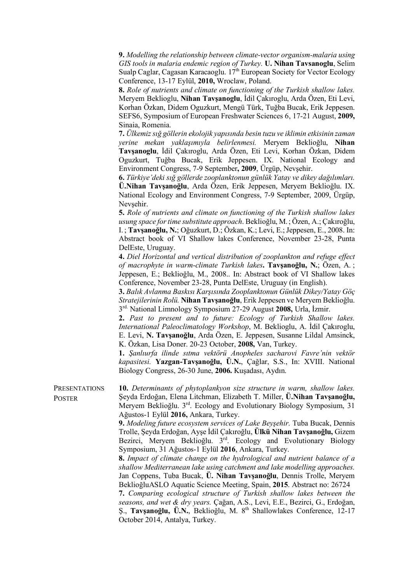**9.** *Modelling the relationship between climate-vector organism-malaria using GIS tools in malaria endemic region of Turkey.* **U. Nihan Tavsanoglu**, Selim Sualp Caglar, Cagasan Karacaoglu.  $17<sup>th</sup>$  European Society for Vector Ecology Conference, 13-17 Eylül, **2010,** Wroclaw, Poland.

**8.** *Role of nutrients and climate on functioning of the Turkish shallow lakes.*  Meryem Beklioglu, **Nihan Tavşanoglu**, İdil Çakıroglu, Arda Özen, Eti Levi, Korhan Özkan, Didem Oguzkurt, Mengü Türk, Tuğba Bucak, Erik Jeppesen. SEFS6, Symposium of European Freshwater Sciences 6, 17-21 August, **2009,** Sinaia, Romenia.

**7.** *Ülkemiz sığ göllerin ekolojik yapısında besin tuzu ve iklimin etkisinin zaman yerine mekan yaklaşımıyla belirlenmesi.* Meryem Beklioğlu, **Nihan Tavşanoglu**, İdil Çakıroglu, Arda Özen, Eti Levi, Korhan Özkan, Didem Oguzkurt, Tuğba Bucak, Erik Jeppesen. IX. National Ecology and Environment Congress, 7-9 September**, 2009**, Ürgüp, Nevşehir.

**6.** *Türkiye'deki sığ göllerde zooplanktonun günlük Yatay ve dikey dağılımları.* **Ü.Nihan Tavşanoğlu**, Arda Özen, Erik Jeppesen, Meryem Beklioğlu. IX. National Ecology and Environment Congress, 7-9 September, 2009, Ürgüp, Nevsehir.

**5.** *Role of nutrients and climate on functioning of the Turkish shallow lakes usung space for time substitute approach*. Beklioğlu, M.; Özen, A.; Çakıroğlu, I. ; **Tavşanoğlu, N.**; Oğuzkurt, D.; Özkan, K.; Levi, E.; Jeppesen, E., 2008. In: Abstract book of VI Shallow lakes Conference, November 23-28, Punta DelEste, Uruguay.

**4.** *Diel Horizontal and vertical distribution of zooplankton and refuge effect of macrophyte in warm-climate Turkish lakes***. Tavşanoğlu, N.**; Özen, A. ; Jeppesen, E.; Beklioğlu, M., 2008.. In: Abstract book of VI Shallow lakes Conference, November 23-28, Punta DelEste, Uruguay (in English).

**3.** *Balık Avlanma Baskısı Karşısında Zooplanktonun Günlük Dikey/Yatay Göç Stratejilerinin Rolü.* **Nihan Tavşanoğlu**, Erik Jeppesen ve Meryem Beklioğlu. 3rd. National Limnology Symposium 27-29 August **2008,** Urla, İzmir.

**2.** *Past to present and to future: Ecology of Turkish Shallow lakes. International Paleoclimatology Workshop*, M. Beklioglu, A. İdil Çakıroglu, E. Levi, **N. Tavşanoğlu**, Arda Özen, E. Jeppesen, Susanne Lildal Amsinck, K. Özkan, Lisa Doner. 20-23 October, **2008,** Van, Turkey.

**1.** *Şanlıurfa ilinde sıtma vektörü Anopheles sacharovi Favre'nin vektör kapasitesi.* **Yazgan-Tavşanoğlu, Ü.N.**, Çağlar, S.S., In: XVIII. National Biology Congress, 26-30 June, **2006.** Kuşadası, Aydın.

**PRESENTATIONS POSTER 10.** *Determinants of phytoplankyon size structure in warm, shallow lakes.* Şeyda Erdoğan, Elena Litchman, Elizabeth T. Miller, **Ü.Nihan Tavşanoğlu,** Meryem Beklioğlu. 3rd. Ecology and Evolutionary Biology Symposium, 31 Ağustos-1 Eylül **2016,** Ankara, Turkey.

> **9.** *Modeling future ecosystem services of Lake Beyşehir.* Tuba Bucak, Dennis Trolle, Şeyda Erdoğan, Ayşe İdil Çakıroğlu, **Ülkü Nihan Tavşanoğlu,** Gizem Bezirci, Meryem Beklioğlu. 3<sup>rd</sup>. Ecology and Evolutionary Biology Symposium, 31 Ağustos-1 Eylül **2016**, Ankara, Turkey.

> **8.** *Impact of climate change on the hydrological and nutrient balance of a shallow Mediterranean lake using catchment and lake modelling approaches.* Jan Coppens, Tuba Bucak, **Ü. Nihan Tavşanoğlu**, Dennis Trolle, Meryem BeklioğluASLO Aquatic Science Meeting, Spain, **2015**. Abstract no: 26724

> **7.** *Comparing ecological structure of Turkish shallow lakes between the seasons, and wet & dry years.* Çağan, A.S., Levi, E.E., Bezirci, G., Erdoğan, Ş., **Tavşanoğlu, Ü.N.**, Beklioğlu, M. 8th Shallowlakes Conference, 12-17 October 2014, Antalya, Turkey.